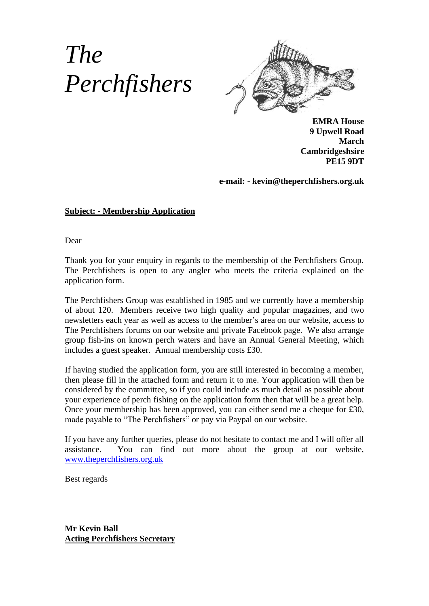## *The Perchfishers*



**EMRA House 9 Upwell Road March Cambridgeshsire PE15 9DT**

**e-mail: - kevin@theperchfishers.org.uk**

### **Subject: - Membership Application**

Dear

Thank you for your enquiry in regards to the membership of the Perchfishers Group. The Perchfishers is open to any angler who meets the criteria explained on the application form.

The Perchfishers Group was established in 1985 and we currently have a membership of about 120. Members receive two high quality and popular magazines, and two newsletters each year as well as access to the member's area on our website, access to The Perchfishers forums on our website and private Facebook page. We also arrange group fish-ins on known perch waters and have an Annual General Meeting, which includes a guest speaker. Annual membership costs £30.

If having studied the application form, you are still interested in becoming a member, then please fill in the attached form and return it to me. Your application will then be considered by the committee, so if you could include as much detail as possible about your experience of perch fishing on the application form then that will be a great help. Once your membership has been approved, you can either send me a cheque for £30, made payable to "The Perchfishers" or pay via Paypal on our website.

If you have any further queries, please do not hesitate to contact me and I will offer all assistance. You can find out more about the group at our website, [www.theperchfishers.org.uk](http://www.theperchfishers.org.uk/)

Best regards

**Mr Kevin Ball Acting Perchfishers Secretary**